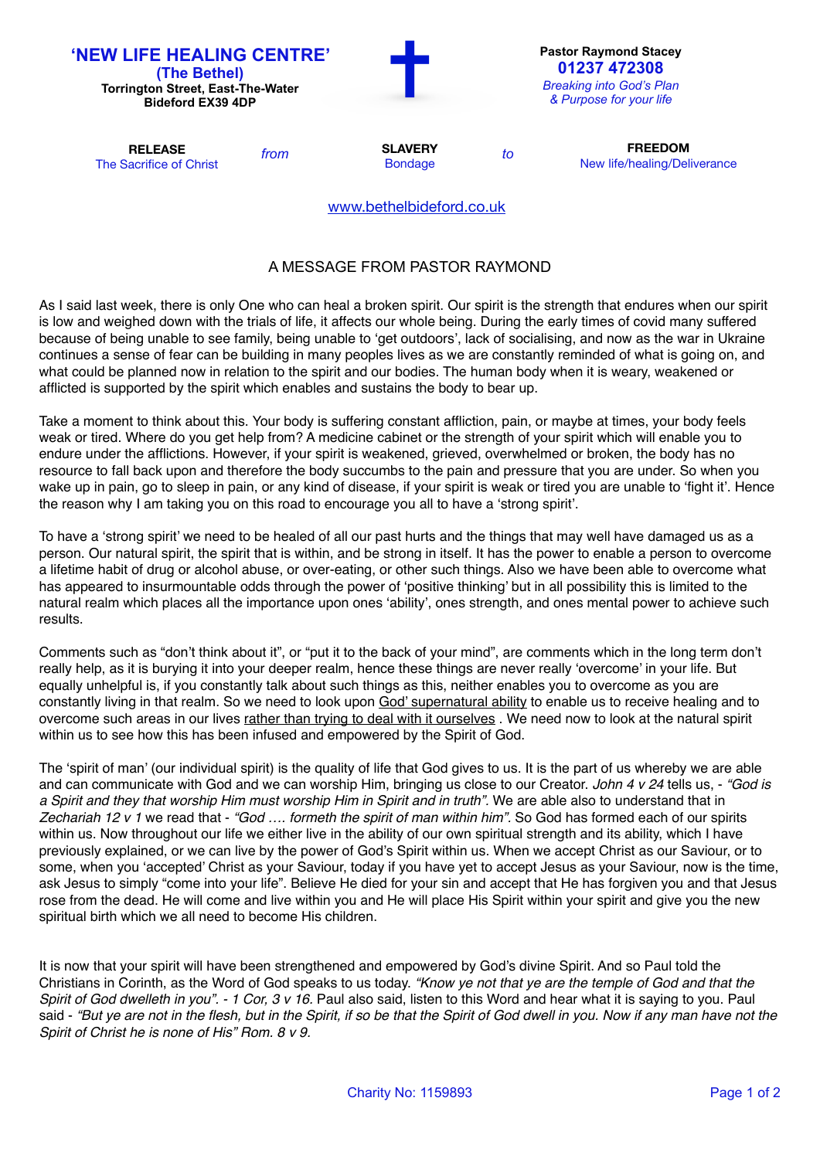| <b>'NEW LIFE HEALING CENTRE'</b><br>(The Bethel)<br><b>Torrington Street, East-The-Water</b><br><b>Bideford EX39 4DP</b> |      |                                  |    | <b>Pastor Raymond Stacey</b><br>01237 472308<br><b>Breaking into God's Plan</b><br>& Purpose for your life |
|--------------------------------------------------------------------------------------------------------------------------|------|----------------------------------|----|------------------------------------------------------------------------------------------------------------|
| <b>RELEASE</b><br>The Sacrifice of Christ                                                                                | from | <b>SLAVERY</b><br><b>Bondage</b> | to | <b>FREEDOM</b><br>New life/healing/Deliverance                                                             |
|                                                                                                                          |      | www.bethelbideford.co.uk         |    |                                                                                                            |

## A MESSAGE FROM PASTOR RAYMOND

As I said last week, there is only One who can heal a broken spirit. Our spirit is the strength that endures when our spirit is low and weighed down with the trials of life, it affects our whole being. During the early times of covid many suffered because of being unable to see family, being unable to 'get outdoors', lack of socialising, and now as the war in Ukraine continues a sense of fear can be building in many peoples lives as we are constantly reminded of what is going on, and what could be planned now in relation to the spirit and our bodies. The human body when it is weary, weakened or afflicted is supported by the spirit which enables and sustains the body to bear up.

Take a moment to think about this. Your body is suffering constant affliction, pain, or maybe at times, your body feels weak or tired. Where do you get help from? A medicine cabinet or the strength of your spirit which will enable you to endure under the afflictions. However, if your spirit is weakened, grieved, overwhelmed or broken, the body has no resource to fall back upon and therefore the body succumbs to the pain and pressure that you are under. So when you wake up in pain, go to sleep in pain, or any kind of disease, if your spirit is weak or tired you are unable to 'fight it'. Hence the reason why I am taking you on this road to encourage you all to have a 'strong spirit'.

To have a 'strong spirit' we need to be healed of all our past hurts and the things that may well have damaged us as a person. Our natural spirit, the spirit that is within, and be strong in itself. It has the power to enable a person to overcome a lifetime habit of drug or alcohol abuse, or over-eating, or other such things. Also we have been able to overcome what has appeared to insurmountable odds through the power of 'positive thinking' but in all possibility this is limited to the natural realm which places all the importance upon ones 'ability', ones strength, and ones mental power to achieve such results.

Comments such as "don't think about it", or "put it to the back of your mind", are comments which in the long term don't really help, as it is burying it into your deeper realm, hence these things are never really 'overcome' in your life. But equally unhelpful is, if you constantly talk about such things as this, neither enables you to overcome as you are constantly living in that realm. So we need to look upon God' supernatural ability to enable us to receive healing and to overcome such areas in our lives rather than trying to deal with it ourselves . We need now to look at the natural spirit within us to see how this has been infused and empowered by the Spirit of God.

The 'spirit of man' (our individual spirit) is the quality of life that God gives to us. It is the part of us whereby we are able and can communicate with God and we can worship Him, bringing us close to our Creator. *John 4 v 24* tells us, - *"God is a Spirit and they that worship Him must worship Him in Spirit and in truth".* We are able also to understand that in *Zechariah 12 v 1* we read that - *"God …. formeth the spirit of man within him".* So God has formed each of our spirits within us. Now throughout our life we either live in the ability of our own spiritual strength and its ability, which I have previously explained, or we can live by the power of God's Spirit within us. When we accept Christ as our Saviour, or to some, when you 'accepted' Christ as your Saviour, today if you have yet to accept Jesus as your Saviour, now is the time, ask Jesus to simply "come into your life". Believe He died for your sin and accept that He has forgiven you and that Jesus rose from the dead. He will come and live within you and He will place His Spirit within your spirit and give you the new spiritual birth which we all need to become His children.

It is now that your spirit will have been strengthened and empowered by God's divine Spirit. And so Paul told the Christians in Corinth, as the Word of God speaks to us today. *"Know ye not that ye are the temple of God and that the Spirit of God dwelleth in you". - 1 Cor, 3 v 16.* Paul also said, listen to this Word and hear what it is saying to you. Paul said - *"But ye are not in the flesh, but in the Spirit, if so be that the Spirit of God dwell in you. Now if any man have not the Spirit of Christ he is none of His" Rom. 8 v 9.*